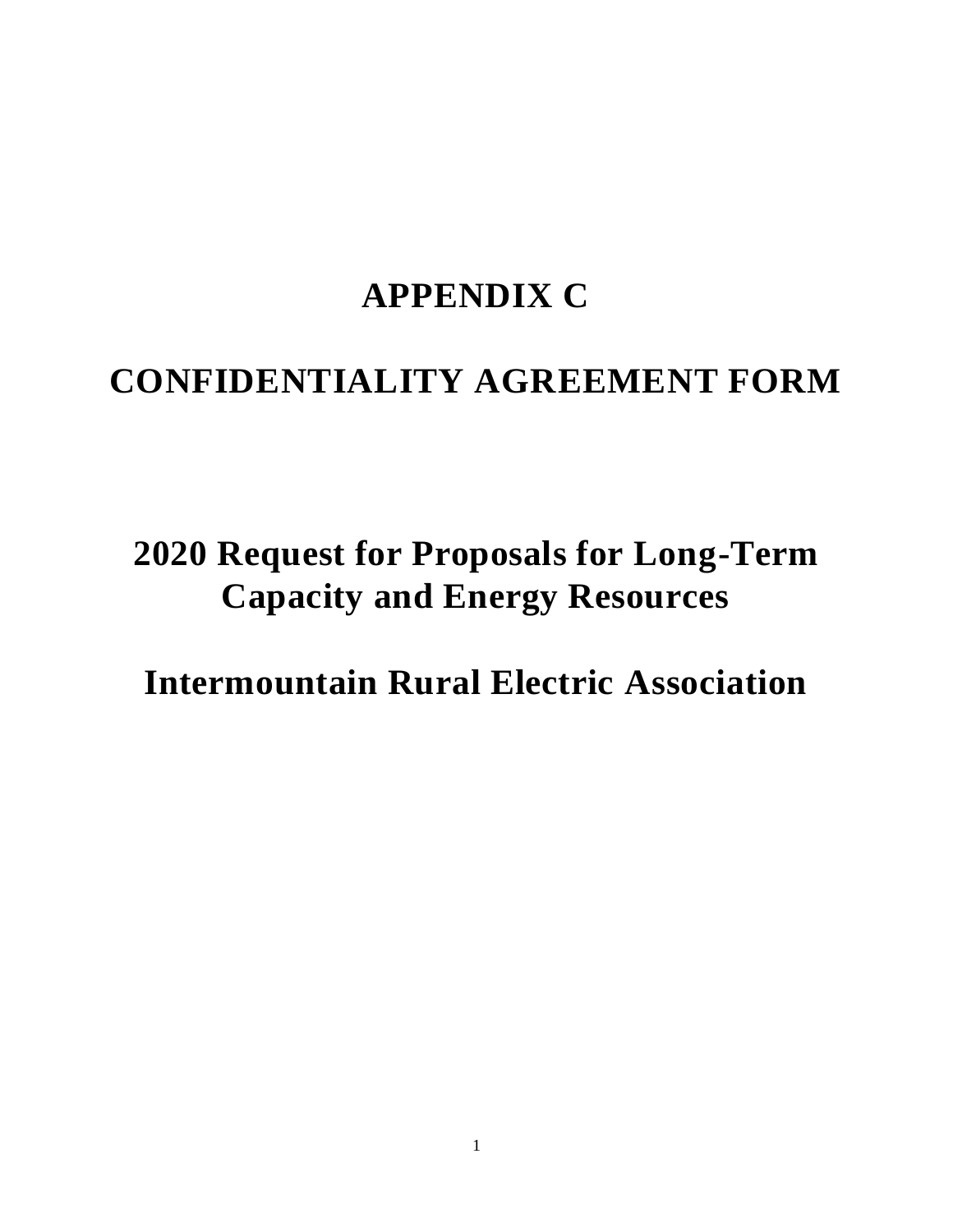## **APPENDIX C**

## **CONFIDENTIALITY AGREEMENT FORM**

# **2020 Request for Proposals for Long-Term Capacity and Energy Resources**

**Intermountain Rural Electric Association**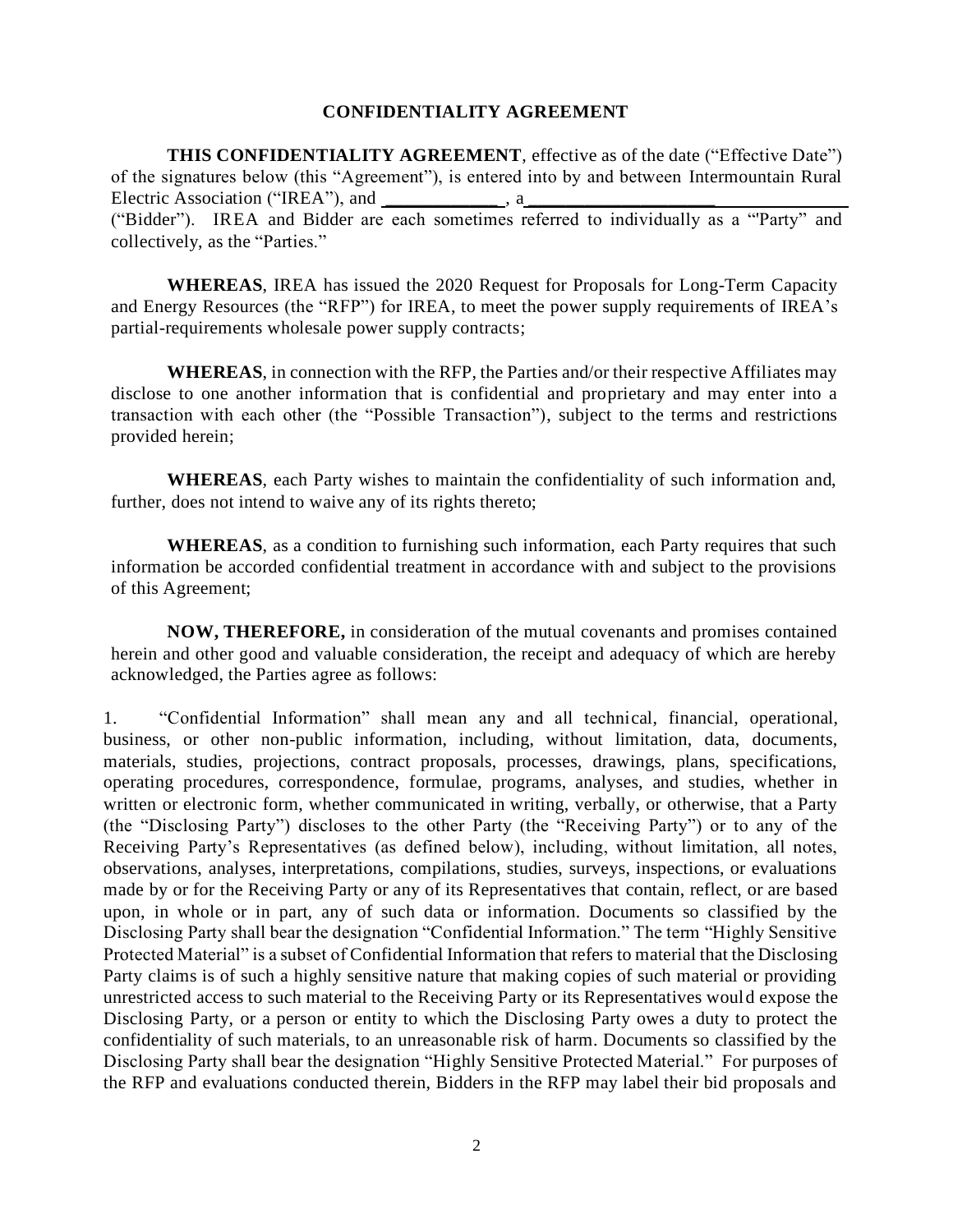#### **CONFIDENTIALITY AGREEMENT**

**THIS CONFIDENTIALITY AGREEMENT**, effective as of the date ("Effective Date") of the signatures below (this "Agreement"), is entered into by and between Intermountain Rural Electric Association ("IREA"), and  $\qquad \qquad$ , a ("Bidder"). IREA and Bidder are each sometimes referred to individually as a "'Party" and collectively, as the "Parties."

**WHEREAS**, IREA has issued the 2020 Request for Proposals for Long-Term Capacity and Energy Resources (the "RFP") for IREA, to meet the power supply requirements of IREA's partial-requirements wholesale power supply contracts;

**WHEREAS**, in connection with the RFP, the Parties and/or their respective Affiliates may disclose to one another information that is confidential and proprietary and may enter into a transaction with each other (the "Possible Transaction"), subject to the terms and restrictions provided herein;

**WHEREAS**, each Party wishes to maintain the confidentiality of such information and, further, does not intend to waive any of its rights thereto;

**WHEREAS**, as a condition to furnishing such information, each Party requires that such information be accorded confidential treatment in accordance with and subject to the provisions of this Agreement;

**NOW, THEREFORE,** in consideration of the mutual covenants and promises contained herein and other good and valuable consideration, the receipt and adequacy of which are hereby acknowledged, the Parties agree as follows:

1. "Confidential Information" shall mean any and all technical, financial, operational, business, or other non-public information, including, without limitation, data, documents, materials, studies, projections, contract proposals, processes, drawings, plans, specifications, operating procedures, correspondence, formulae, programs, analyses, and studies, whether in written or electronic form, whether communicated in writing, verbally, or otherwise, that a Party (the "Disclosing Party") discloses to the other Party (the "Receiving Party") or to any of the Receiving Party's Representatives (as defined below), including, without limitation, all notes, observations, analyses, interpretations, compilations, studies, surveys, inspections, or evaluations made by or for the Receiving Party or any of its Representatives that contain, reflect, or are based upon, in whole or in part, any of such data or information. Documents so classified by the Disclosing Party shall bear the designation "Confidential Information." The term "Highly Sensitive Protected Material" is a subset of Confidential Information that refers to material that the Disclosing Party claims is of such a highly sensitive nature that making copies of such material or providing unrestricted access to such material to the Receiving Party or its Representatives would expose the Disclosing Party, or a person or entity to which the Disclosing Party owes a duty to protect the confidentiality of such materials, to an unreasonable risk of harm. Documents so classified by the Disclosing Party shall bear the designation "Highly Sensitive Protected Material." For purposes of the RFP and evaluations conducted therein, Bidders in the RFP may label their bid proposals and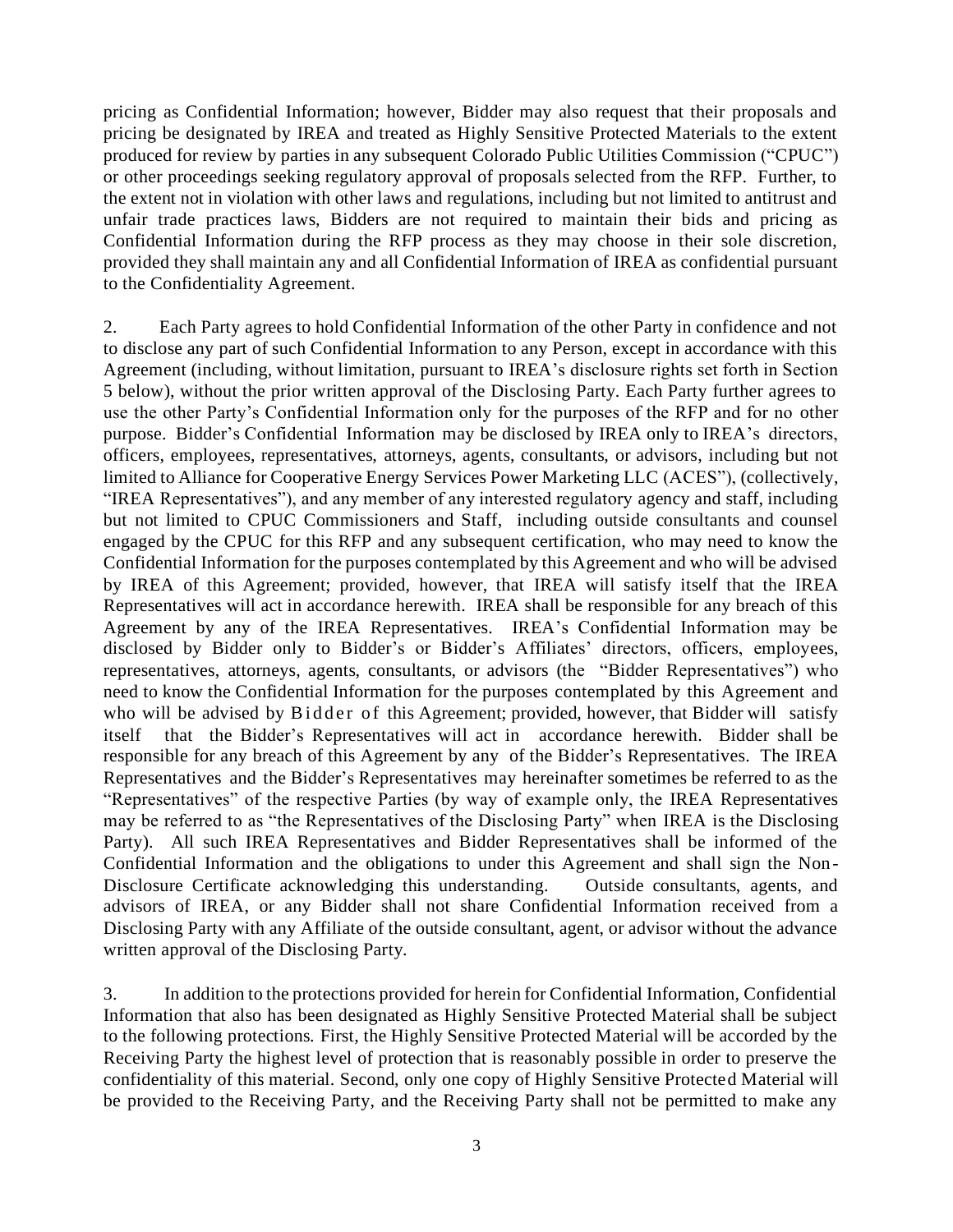pricing as Confidential Information; however, Bidder may also request that their proposals and pricing be designated by IREA and treated as Highly Sensitive Protected Materials to the extent produced for review by parties in any subsequent Colorado Public Utilities Commission ("CPUC") or other proceedings seeking regulatory approval of proposals selected from the RFP. Further, to the extent not in violation with other laws and regulations, including but not limited to antitrust and unfair trade practices laws, Bidders are not required to maintain their bids and pricing as Confidential Information during the RFP process as they may choose in their sole discretion, provided they shall maintain any and all Confidential Information of IREA as confidential pursuant to the Confidentiality Agreement.

2. Each Party agrees to hold Confidential Information of the other Party in confidence and not to disclose any part of such Confidential Information to any Person, except in accordance with this Agreement (including, without limitation, pursuant to IREA's disclosure rights set forth in Section 5 below), without the prior written approval of the Disclosing Party. Each Party further agrees to use the other Party's Confidential Information only for the purposes of the RFP and for no other purpose. Bidder's Confidential Information may be disclosed by IREA only to IREA's directors, officers, employees, representatives, attorneys, agents, consultants, or advisors, including but not limited to Alliance for Cooperative Energy Services Power Marketing LLC (ACES"), (collectively, "IREA Representatives"), and any member of any interested regulatory agency and staff, including but not limited to CPUC Commissioners and Staff, including outside consultants and counsel engaged by the CPUC for this RFP and any subsequent certification, who may need to know the Confidential Information for the purposes contemplated by this Agreement and who will be advised by IREA of this Agreement; provided, however, that IREA will satisfy itself that the IREA Representatives will act in accordance herewith. IREA shall be responsible for any breach of this Agreement by any of the IREA Representatives. IREA's Confidential Information may be disclosed by Bidder only to Bidder's or Bidder's Affiliates' directors, officers, employees, representatives, attorneys, agents, consultants, or advisors (the "Bidder Representatives") who need to know the Confidential Information for the purposes contemplated by this Agreement and who will be advised by Bidder of this Agreement; provided, however, that Bidder will satisfy itself that the Bidder's Representatives will act in accordance herewith. Bidder shall be responsible for any breach of this Agreement by any of the Bidder's Representatives. The IREA Representatives and the Bidder's Representatives may hereinafter sometimes be referred to as the "Representatives" of the respective Parties (by way of example only, the IREA Representatives may be referred to as "the Representatives of the Disclosing Party" when IREA is the Disclosing Party). All such IREA Representatives and Bidder Representatives shall be informed of the Confidential Information and the obligations to under this Agreement and shall sign the Non-Disclosure Certificate acknowledging this understanding. Outside consultants, agents, and advisors of IREA, or any Bidder shall not share Confidential Information received from a Disclosing Party with any Affiliate of the outside consultant, agent, or advisor without the advance written approval of the Disclosing Party.

3. In addition to the protections provided for herein for Confidential Information, Confidential Information that also has been designated as Highly Sensitive Protected Material shall be subject to the following protections. First, the Highly Sensitive Protected Material will be accorded by the Receiving Party the highest level of protection that is reasonably possible in order to preserve the confidentiality of this material. Second, only one copy of Highly Sensitive Protected Material will be provided to the Receiving Party, and the Receiving Party shall not be permitted to make any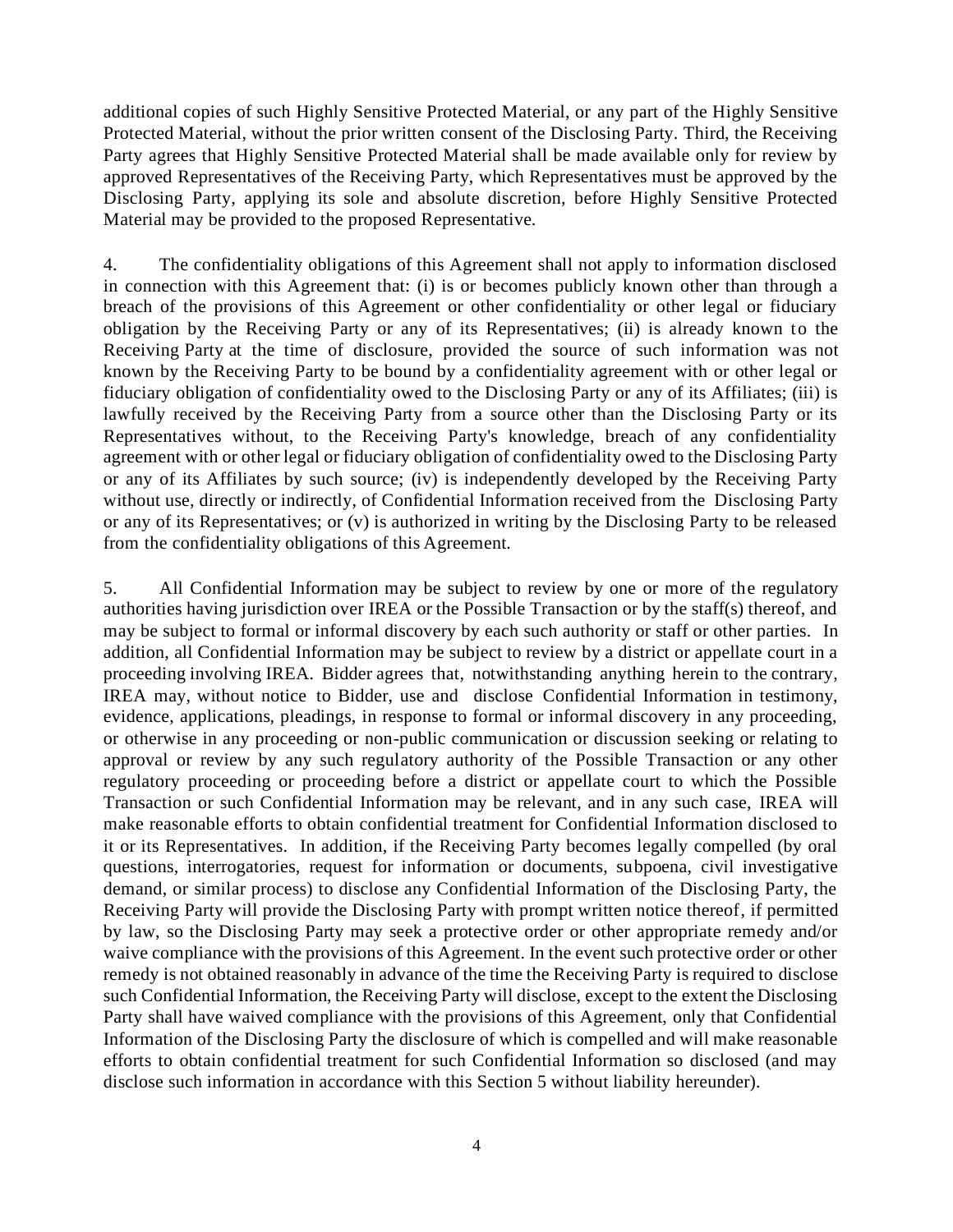additional copies of such Highly Sensitive Protected Material, or any part of the Highly Sensitive Protected Material, without the prior written consent of the Disclosing Party. Third, the Receiving Party agrees that Highly Sensitive Protected Material shall be made available only for review by approved Representatives of the Receiving Party, which Representatives must be approved by the Disclosing Party, applying its sole and absolute discretion, before Highly Sensitive Protected Material may be provided to the proposed Representative.

4. The confidentiality obligations of this Agreement shall not apply to information disclosed in connection with this Agreement that: (i) is or becomes publicly known other than through a breach of the provisions of this Agreement or other confidentiality or other legal or fiduciary obligation by the Receiving Party or any of its Representatives; (ii) is already known to the Receiving Party at the time of disclosure, provided the source of such information was not known by the Receiving Party to be bound by a confidentiality agreement with or other legal or fiduciary obligation of confidentiality owed to the Disclosing Party or any of its Affiliates; (iii) is lawfully received by the Receiving Party from a source other than the Disclosing Party or its Representatives without, to the Receiving Party's knowledge, breach of any confidentiality agreement with or other legal or fiduciary obligation of confidentiality owed to the Disclosing Party or any of its Affiliates by such source; (iv) is independently developed by the Receiving Party without use, directly or indirectly, of Confidential Information received from the Disclosing Party or any of its Representatives; or (v) is authorized in writing by the Disclosing Party to be released from the confidentiality obligations of this Agreement.

5. All Confidential Information may be subject to review by one or more of the regulatory authorities having jurisdiction over IREA or the Possible Transaction or by the staff(s) thereof, and may be subject to formal or informal discovery by each such authority or staff or other parties. In addition, all Confidential Information may be subject to review by a district or appellate court in a proceeding involving IREA. Bidder agrees that, notwithstanding anything herein to the contrary, IREA may, without notice to Bidder, use and disclose Confidential Information in testimony, evidence, applications, pleadings, in response to formal or informal discovery in any proceeding, or otherwise in any proceeding or non-public communication or discussion seeking or relating to approval or review by any such regulatory authority of the Possible Transaction or any other regulatory proceeding or proceeding before a district or appellate court to which the Possible Transaction or such Confidential Information may be relevant, and in any such case, IREA will make reasonable efforts to obtain confidential treatment for Confidential Information disclosed to it or its Representatives. In addition, if the Receiving Party becomes legally compelled (by oral questions, interrogatories, request for information or documents, subpoena, civil investigative demand, or similar process) to disclose any Confidential Information of the Disclosing Party, the Receiving Party will provide the Disclosing Party with prompt written notice thereof, if permitted by law, so the Disclosing Party may seek a protective order or other appropriate remedy and/or waive compliance with the provisions of this Agreement. In the event such protective order or other remedy is not obtained reasonably in advance of the time the Receiving Party is required to disclose such Confidential Information, the Receiving Party will disclose, except to the extent the Disclosing Party shall have waived compliance with the provisions of this Agreement, only that Confidential Information of the Disclosing Party the disclosure of which is compelled and will make reasonable efforts to obtain confidential treatment for such Confidential Information so disclosed (and may disclose such information in accordance with this Section 5 without liability hereunder).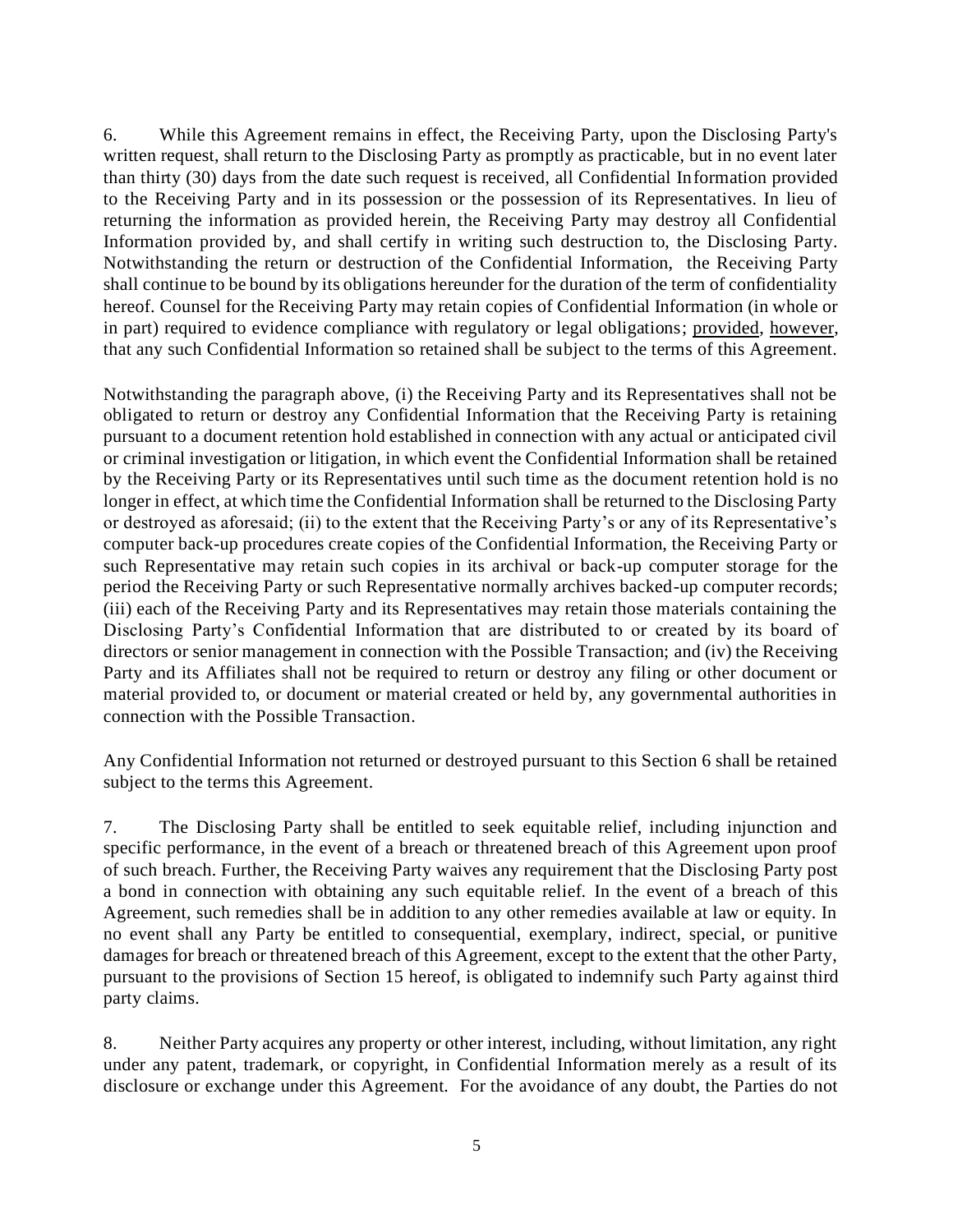6. While this Agreement remains in effect, the Receiving Party, upon the Disclosing Party's written request, shall return to the Disclosing Party as promptly as practicable, but in no event later than thirty (30) days from the date such request is received, all Confidential Information provided to the Receiving Party and in its possession or the possession of its Representatives. In lieu of returning the information as provided herein, the Receiving Party may destroy all Confidential Information provided by, and shall certify in writing such destruction to, the Disclosing Party. Notwithstanding the return or destruction of the Confidential Information, the Receiving Party shall continue to be bound by its obligations hereunder for the duration of the term of confidentiality hereof. Counsel for the Receiving Party may retain copies of Confidential Information (in whole or in part) required to evidence compliance with regulatory or legal obligations; provided, however, that any such Confidential Information so retained shall be subject to the terms of this Agreement.

Notwithstanding the paragraph above, (i) the Receiving Party and its Representatives shall not be obligated to return or destroy any Confidential Information that the Receiving Party is retaining pursuant to a document retention hold established in connection with any actual or anticipated civil or criminal investigation or litigation, in which event the Confidential Information shall be retained by the Receiving Party or its Representatives until such time as the document retention hold is no longer in effect, at which time the Confidential Information shall be returned to the Disclosing Party or destroyed as aforesaid; (ii) to the extent that the Receiving Party's or any of its Representative's computer back-up procedures create copies of the Confidential Information, the Receiving Party or such Representative may retain such copies in its archival or back-up computer storage for the period the Receiving Party or such Representative normally archives backed-up computer records; (iii) each of the Receiving Party and its Representatives may retain those materials containing the Disclosing Party's Confidential Information that are distributed to or created by its board of directors or senior management in connection with the Possible Transaction; and (iv) the Receiving Party and its Affiliates shall not be required to return or destroy any filing or other document or material provided to, or document or material created or held by, any governmental authorities in connection with the Possible Transaction.

Any Confidential Information not returned or destroyed pursuant to this Section 6 shall be retained subject to the terms this Agreement.

7. The Disclosing Party shall be entitled to seek equitable relief, including injunction and specific performance, in the event of a breach or threatened breach of this Agreement upon proof of such breach. Further, the Receiving Party waives any requirement that the Disclosing Party post a bond in connection with obtaining any such equitable relief. In the event of a breach of this Agreement, such remedies shall be in addition to any other remedies available at law or equity. In no event shall any Party be entitled to consequential, exemplary, indirect, special, or punitive damages for breach or threatened breach of this Agreement, except to the extent that the other Party, pursuant to the provisions of Section 15 hereof, is obligated to indemnify such Party against third party claims.

8. Neither Party acquires any property or other interest, including, without limitation, any right under any patent, trademark, or copyright, in Confidential Information merely as a result of its disclosure or exchange under this Agreement. For the avoidance of any doubt, the Parties do not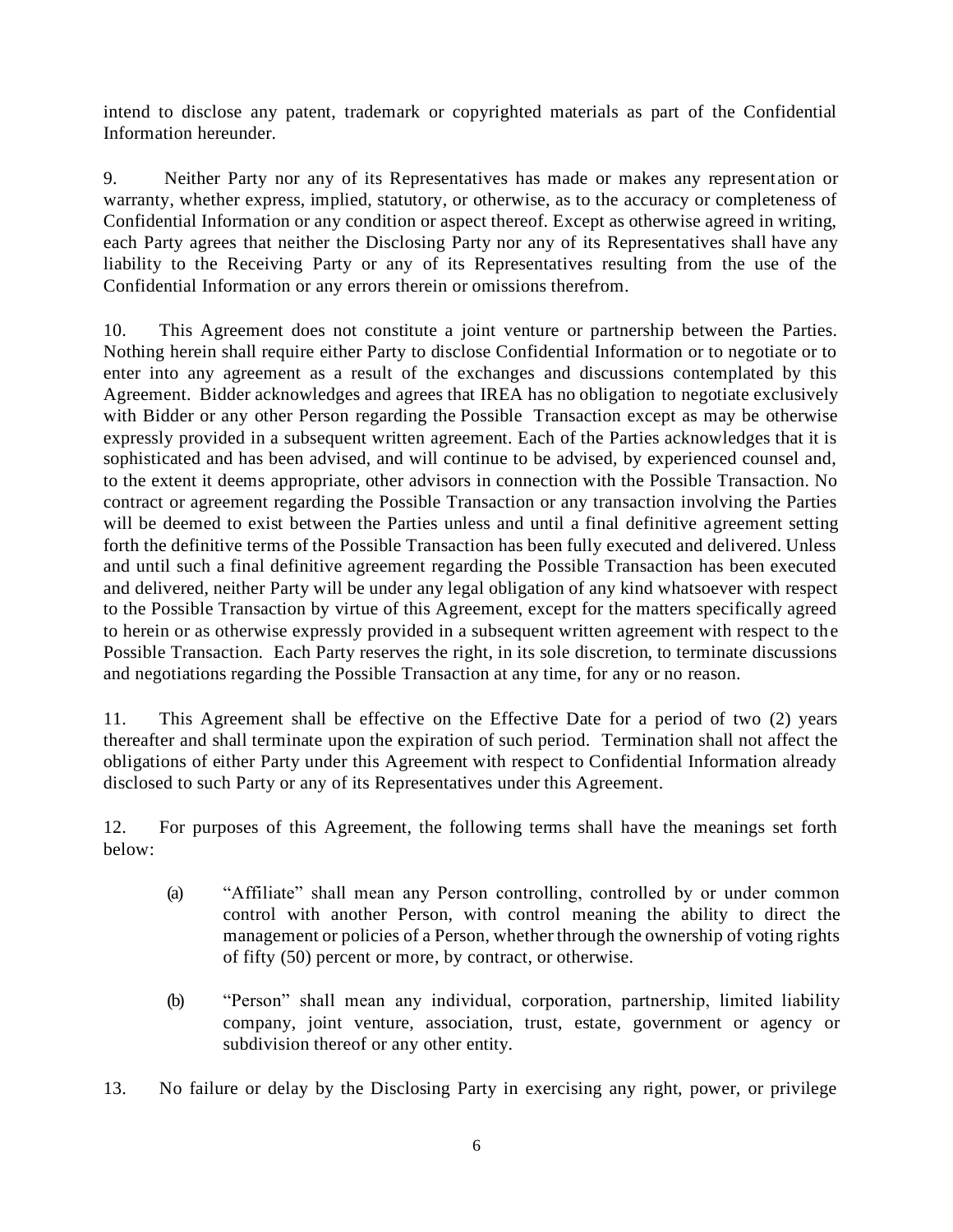intend to disclose any patent, trademark or copyrighted materials as part of the Confidential Information hereunder.

9. Neither Party nor any of its Representatives has made or makes any representation or warranty, whether express, implied, statutory, or otherwise, as to the accuracy or completeness of Confidential Information or any condition or aspect thereof. Except as otherwise agreed in writing, each Party agrees that neither the Disclosing Party nor any of its Representatives shall have any liability to the Receiving Party or any of its Representatives resulting from the use of the Confidential Information or any errors therein or omissions therefrom.

10. This Agreement does not constitute a joint venture or partnership between the Parties. Nothing herein shall require either Party to disclose Confidential Information or to negotiate or to enter into any agreement as a result of the exchanges and discussions contemplated by this Agreement. Bidder acknowledges and agrees that IREA has no obligation to negotiate exclusively with Bidder or any other Person regarding the Possible Transaction except as may be otherwise expressly provided in a subsequent written agreement. Each of the Parties acknowledges that it is sophisticated and has been advised, and will continue to be advised, by experienced counsel and, to the extent it deems appropriate, other advisors in connection with the Possible Transaction. No contract or agreement regarding the Possible Transaction or any transaction involving the Parties will be deemed to exist between the Parties unless and until a final definitive agreement setting forth the definitive terms of the Possible Transaction has been fully executed and delivered. Unless and until such a final definitive agreement regarding the Possible Transaction has been executed and delivered, neither Party will be under any legal obligation of any kind whatsoever with respect to the Possible Transaction by virtue of this Agreement, except for the matters specifically agreed to herein or as otherwise expressly provided in a subsequent written agreement with respect to the Possible Transaction. Each Party reserves the right, in its sole discretion, to terminate discussions and negotiations regarding the Possible Transaction at any time, for any or no reason.

11. This Agreement shall be effective on the Effective Date for a period of two (2) years thereafter and shall terminate upon the expiration of such period. Termination shall not affect the obligations of either Party under this Agreement with respect to Confidential Information already disclosed to such Party or any of its Representatives under this Agreement.

12. For purposes of this Agreement, the following terms shall have the meanings set forth below:

- (a) "Affiliate" shall mean any Person controlling, controlled by or under common control with another Person, with control meaning the ability to direct the management or policies of a Person, whether through the ownership of voting rights of fifty (50) percent or more, by contract, or otherwise.
- (b) "Person" shall mean any individual, corporation, partnership, limited liability company, joint venture, association, trust, estate, government or agency or subdivision thereof or any other entity.
- 13. No failure or delay by the Disclosing Party in exercising any right, power, or privilege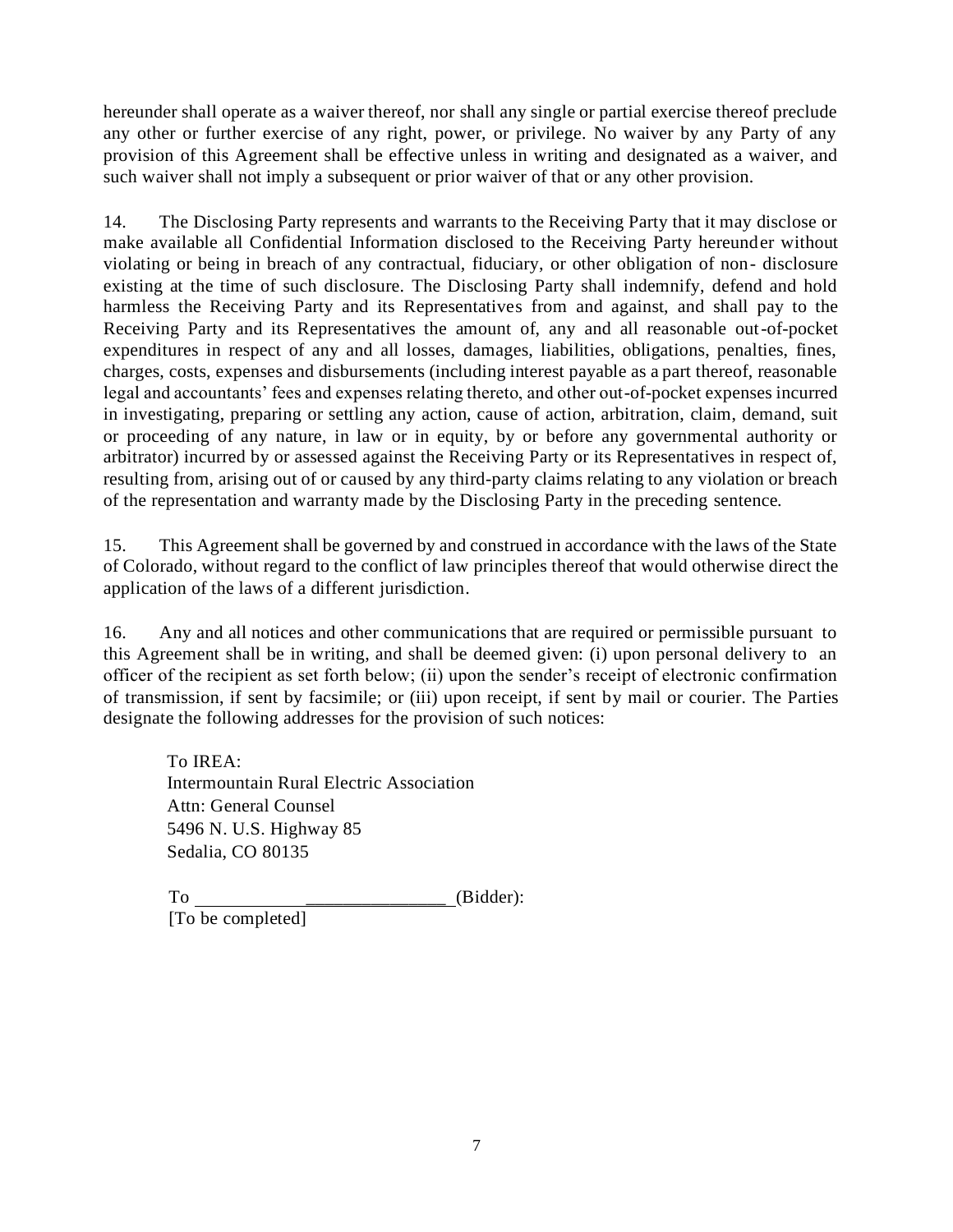hereunder shall operate as a waiver thereof, nor shall any single or partial exercise thereof preclude any other or further exercise of any right, power, or privilege. No waiver by any Party of any provision of this Agreement shall be effective unless in writing and designated as a waiver, and such waiver shall not imply a subsequent or prior waiver of that or any other provision.

14. The Disclosing Party represents and warrants to the Receiving Party that it may disclose or make available all Confidential Information disclosed to the Receiving Party hereunder without violating or being in breach of any contractual, fiduciary, or other obligation of non- disclosure existing at the time of such disclosure. The Disclosing Party shall indemnify, defend and hold harmless the Receiving Party and its Representatives from and against, and shall pay to the Receiving Party and its Representatives the amount of, any and all reasonable out-of-pocket expenditures in respect of any and all losses, damages, liabilities, obligations, penalties, fines, charges, costs, expenses and disbursements (including interest payable as a part thereof, reasonable legal and accountants' fees and expenses relating thereto, and other out-of-pocket expenses incurred in investigating, preparing or settling any action, cause of action, arbitration, claim, demand, suit or proceeding of any nature, in law or in equity, by or before any governmental authority or arbitrator) incurred by or assessed against the Receiving Party or its Representatives in respect of, resulting from, arising out of or caused by any third-party claims relating to any violation or breach of the representation and warranty made by the Disclosing Party in the preceding sentence.

15. This Agreement shall be governed by and construed in accordance with the laws of the State of Colorado, without regard to the conflict of law principles thereof that would otherwise direct the application of the laws of a different jurisdiction.

16. Any and all notices and other communications that are required or permissible pursuant to this Agreement shall be in writing, and shall be deemed given: (i) upon personal delivery to an officer of the recipient as set forth below; (ii) upon the sender's receipt of electronic confirmation of transmission, if sent by facsimile; or (iii) upon receipt, if sent by mail or courier. The Parties designate the following addresses for the provision of such notices:

To IREA: Intermountain Rural Electric Association Attn: General Counsel 5496 N. U.S. Highway 85 Sedalia, CO 80135

 $To$   $\qquad \qquad$  (Bidder): [To be completed]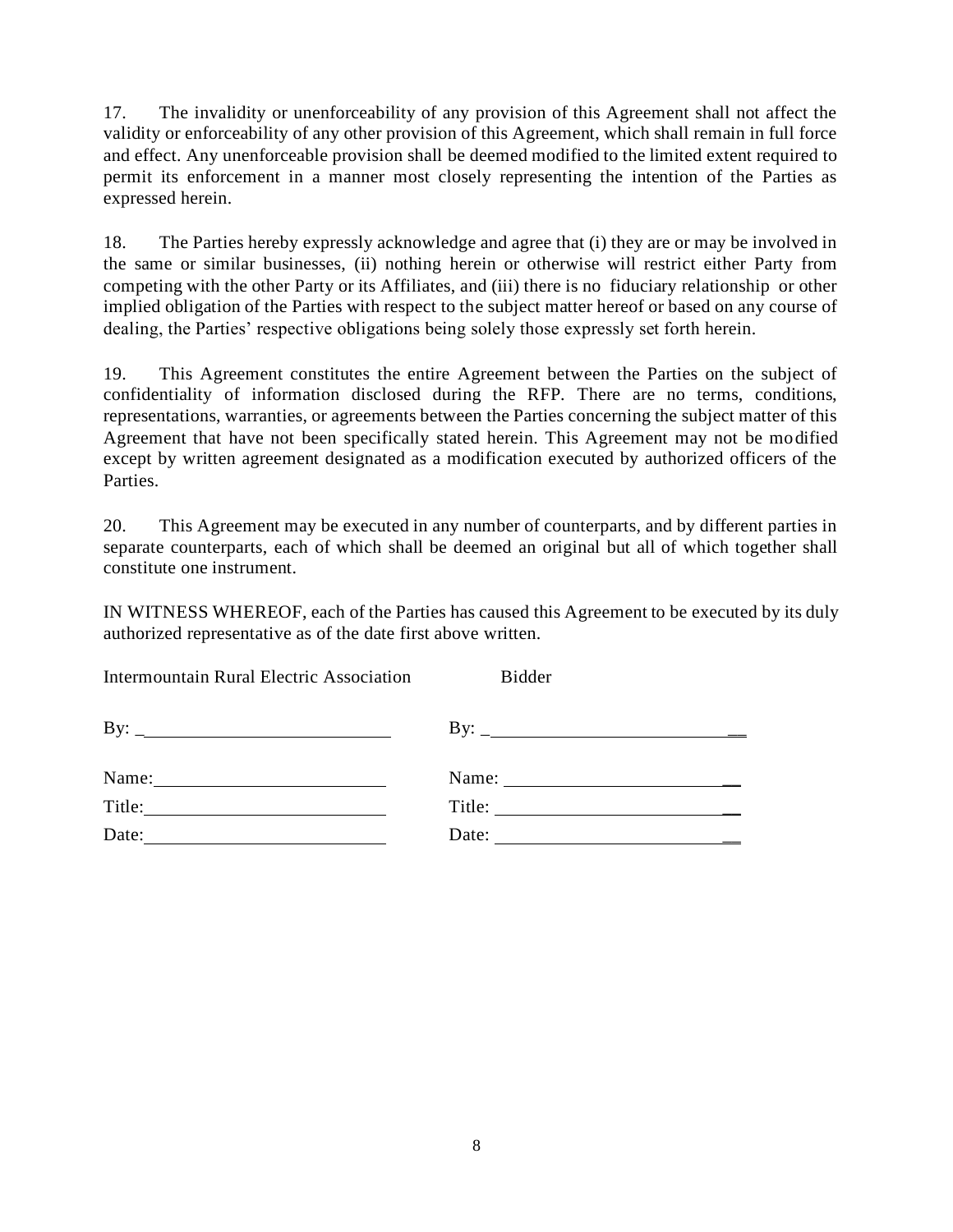17. The invalidity or unenforceability of any provision of this Agreement shall not affect the validity or enforceability of any other provision of this Agreement, which shall remain in full force and effect. Any unenforceable provision shall be deemed modified to the limited extent required to permit its enforcement in a manner most closely representing the intention of the Parties as expressed herein.

18. The Parties hereby expressly acknowledge and agree that (i) they are or may be involved in the same or similar businesses, (ii) nothing herein or otherwise will restrict either Party from competing with the other Party or its Affiliates, and (iii) there is no fiduciary relationship or other implied obligation of the Parties with respect to the subject matter hereof or based on any course of dealing, the Parties' respective obligations being solely those expressly set forth herein.

19. This Agreement constitutes the entire Agreement between the Parties on the subject of confidentiality of information disclosed during the RFP. There are no terms, conditions, representations, warranties, or agreements between the Parties concerning the subject matter of this Agreement that have not been specifically stated herein. This Agreement may not be modified except by written agreement designated as a modification executed by authorized officers of the Parties.

20. This Agreement may be executed in any number of counterparts, and by different parties in separate counterparts, each of which shall be deemed an original but all of which together shall constitute one instrument.

IN WITNESS WHEREOF, each of the Parties has caused this Agreement to be executed by its duly authorized representative as of the date first above written.

| <b>Intermountain Rural Electric Association</b>              | <b>Bidder</b>                |
|--------------------------------------------------------------|------------------------------|
|                                                              | By: $\overline{\phantom{a}}$ |
| Name:<br><u> 1990 - Johann Barbara, martin eta politikar</u> |                              |
| Title:<br><u> 1989 - John Stein, Amerikaansk politiker (</u> | Title:                       |
| Date:                                                        | Date:                        |